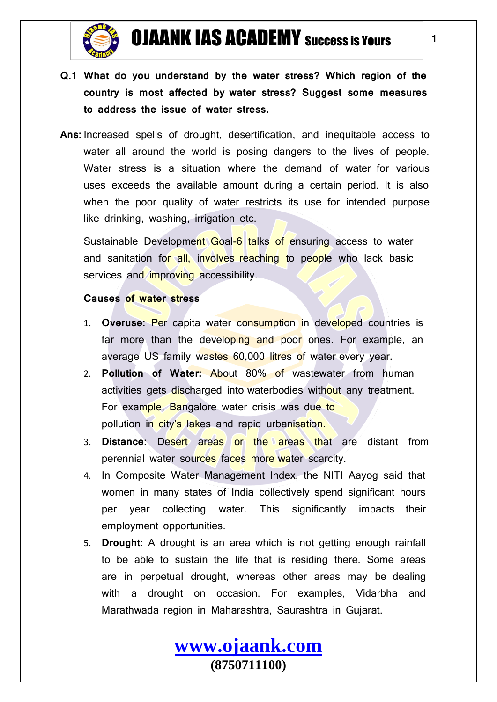

- **Q.1 What do you understand by the water stress? Which region of the country is most affected by water stress? Suggest some measures to address the issue of water stress.**
- **Ans:** Increased spells of drought, desertification, and inequitable access to water all around the world is posing dangers to the lives of people. Water stress is a situation where the demand of water for various uses exceeds the available amount during a certain period. It is also when the poor quality of water restricts its use for intended purpose like drinking, washing, irrigation etc.

Sustainable Development Goal-6 talks of ensuring access to water and sanitation for all, involves reaching to people who lack basic services and improving accessibility.

#### **Causes of water stress**

- 1. **Overuse:** Per capita water consumption in developed countries is far more than the developing and poor ones. For example, an average US family wastes 60,000 litres of water every year.
- 2. **Pollution of Water:** About 80% of wastewater from human activities gets discharged into waterbodies without any treatment. For example, Bangalore water crisis was due to pollution in city's lakes and rapid urbanisation.
- 3. **Distance:** Desert areas or the areas that are distant from perennial water sources faces more water scarcity.
- 4. In Composite Water Management Index, the NITI Aayog said that women in many states of India collectively spend significant hours per year collecting water. This significantly impacts their employment opportunities.
- 5. **Drought:** A drought is an area which is not getting enough rainfall to be able to sustain the life that is residing there. Some areas are in perpetual drought, whereas other areas may be dealing with a drought on occasion. For examples, Vidarbha and Marathwada region in Maharashtra, Saurashtra in Gujarat.

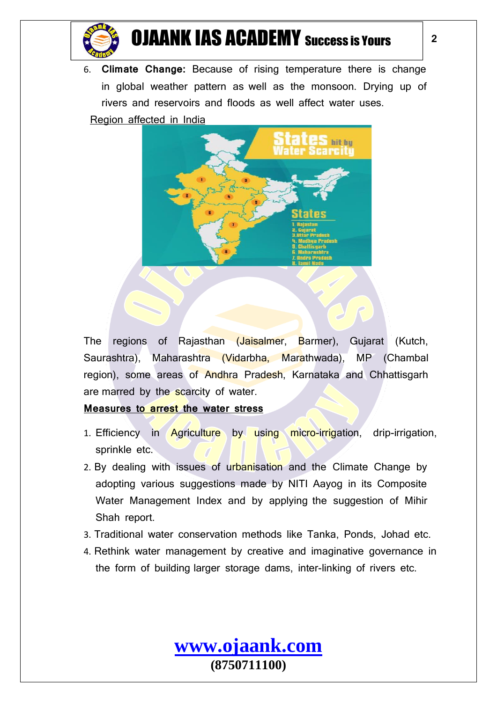

6. **Climate Change:** Because of rising temperature there is change in global weather pattern as well as the monsoon. Drying up of rivers and reservoirs and floods as well affect water uses.

Region affected in India



The regions of Rajasthan (Jaisalmer, Barmer), Gujarat (Kutch, Saurashtra), Maharashtra (Vidarbha, Marathwada), MP (Chambal region), some areas of Andhra Pradesh, Karnataka and Chhattisgarh are marred by the scarcity of water.

### **Measures to arrest the water stress**

- 1. Efficiency in **Agriculture** by using micro-irrigation, drip-irrigation, sprinkle etc.
- 2. By dealing with issues of urbanisation and the Climate Change by adopting various suggestions made by NITI Aayog in its Composite Water Management Index and by applying the suggestion of Mihir Shah report.
- 3. Traditional water conservation methods like Tanka, Ponds, Johad etc.
- 4. Rethink water management by creative and imaginative governance in the form of building larger storage dams, inter-linking of rivers etc.

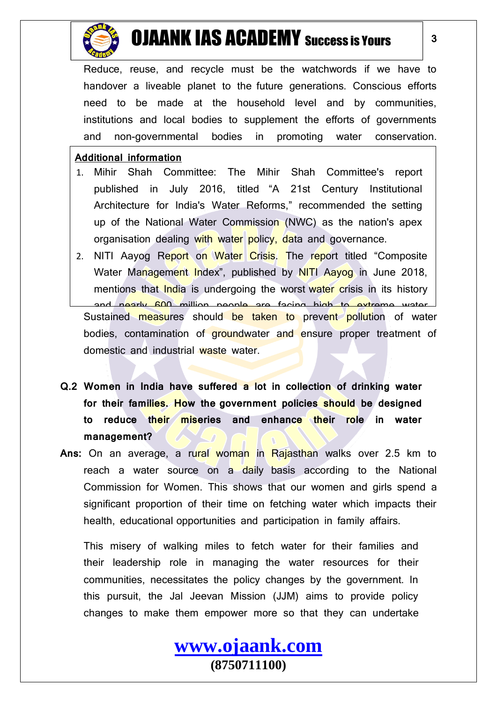

Reduce, reuse, and recycle must be the watchwords if we have to handover a liveable planet to the future generations. Conscious efforts need to be made at the household level and by communities, institutions and local bodies to supplement the efforts of governments and non-governmental bodies in promoting water conservation.

#### **Additional information**

- 1. Mihir Shah Committee: The Mihir Shah Committee's report published in July 2016, titled "A 21st Century Institutional Architecture for India's Water Reforms," recommended the setting up of the National Water Commission (NWC) as the nation's apex organisation dealing with water policy, data and governance.
- 2. NITI Aayog Report on Water Crisis. The report titled "Composite Water Management Index", published by NITI Aayog in June 2018, mentions that India is undergoing the worst water crisis in its history and nearly 600 million people are facing high to extreme water Sustained measures should be taken to prevent pollution of water bodies, contamination of groundwater and ensure proper treatment of domestic and industrial waste water.

issues, conservation, and protection of water sources in the state.

- **Q.2 Women in India have suffered a lot in collection of drinking water for their families. How the government policies should be designed to reduce their miseries and enhance their role in water management?**
- **Ans:** On an average, a rural woman in Rajasthan walks over 2.5 km to reach a water source on a daily basis according to the National Commission for Women. This shows that our women and girls spend a significant proportion of their time on fetching water which impacts their health, educational opportunities and participation in family affairs.

This misery of walking miles to fetch water for their families and their leadership role in managing the water resources for their communities, necessitates the policy changes by the government. In this pursuit, the Jal Jeevan Mission (JJM) aims to provide policy changes to make them empower more so that they can undertake

> **[www.ojaank.com](http://www.ojaank.com/) (8750711100)**

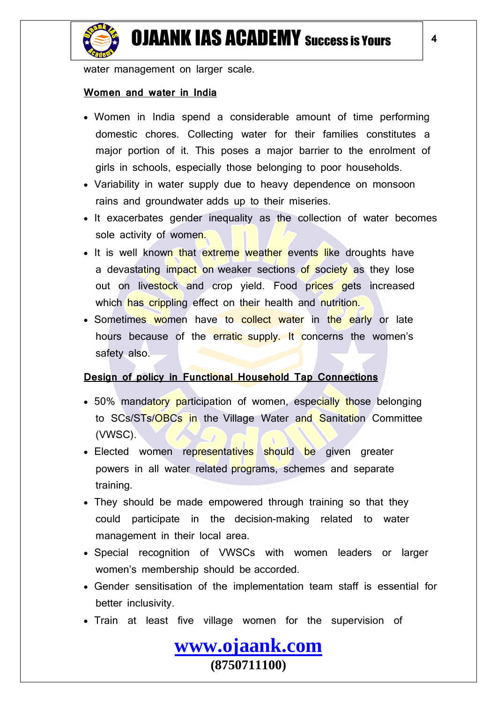

water management on larger scale.

#### **Women and water in India**

- Women in India spend a considerable amount of time performing domestic chores. Collecting water for their families constitutes a major portion of it. This poses a major barrier to the enrolment of girls in schools, especially those belonging to poor households.
- Variability in water supply due to heavy dependence on monsoon rains and groundwater adds up to their miseries.
- It exacerbates gender inequality as the collection of water becomes sole activity of women.
- It is well known that extreme weather events like droughts have a devastating impact on weaker sections of society as they lose out on livestock and crop yield. Food prices gets increased which has crippling effect on their health and nutrition.
- Sometimes women have to collect water in the early or late hours because of the erratic supply. It concerns the women's safety also.

### **Design of policy in Functional Household Tap Connections**

- 50% mandatory participation of women, especially those belonging to SCs/STs/OBCs in the Village Water and Sanitation Committee (VWSC).
- Elected women representatives should be given greater powers in all water related programs, schemes and separate training.
- They should be made empowered through training so that they could participate in the decision-making related to water management in their local area.
- Special recognition of VWSCs with women leaders or larger women's membership should be accorded.
- Gender sensitisation of the implementation team staff is essential for better inclusivity.
- Train at least five village women for the supervision of

**[www.ojaank.com](http://www.ojaank.com/)**

**(8750711100)**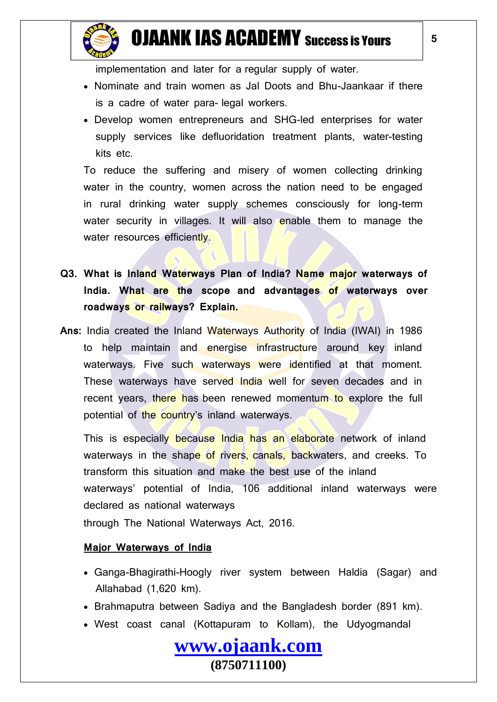

- Nominate and train women as Jal Doots and Bhu-Jaankaar if there is a cadre of water para- legal workers.
- Develop women entrepreneurs and SHG-led enterprises for water supply services like defluoridation treatment plants, water-testing kits etc.

To reduce the suffering and misery of women collecting drinking water in the country, women across the nation need to be engaged in rural drinking water supply schemes consciously for long-term water security in villages. It will also enable them to manage the water resources efficiently.

- **Q3. What is Inland Waterways Plan of India? Name major waterways of India. What are the scope and advantages of waterways over roadways or railways? Explain.**
- **Ans:** India created the Inland Waterways Authority of India (IWAI) in 1986 to help maintain and energise infrastructure around key inland waterways. Five such waterways were identified at that moment. These waterways have served India well for seven decades and in recent years, there has been renewed momentum to explore the full potential of the country's inland waterways.

This is especially because India has an elaborate network of inland waterways in the shape of rivers, canals, backwaters, and creeks. To transform this situation and make the best use of the inland waterways' potential of India, 106 additional inland waterways were declared as national waterways

through The National Waterways Act, 2016.

### **Major Waterways of India**

- Ganga-Bhagirathi-Hoogly river system between Haldia (Sagar) and Allahabad (1,620 km).
- Brahmaputra between Sadiya and the Bangladesh border (891 km).
- West coast canal (Kottapuram to Kollam), the Udyogmandal

**[www.ojaank.com](http://www.ojaank.com/)**

**(8750711100)**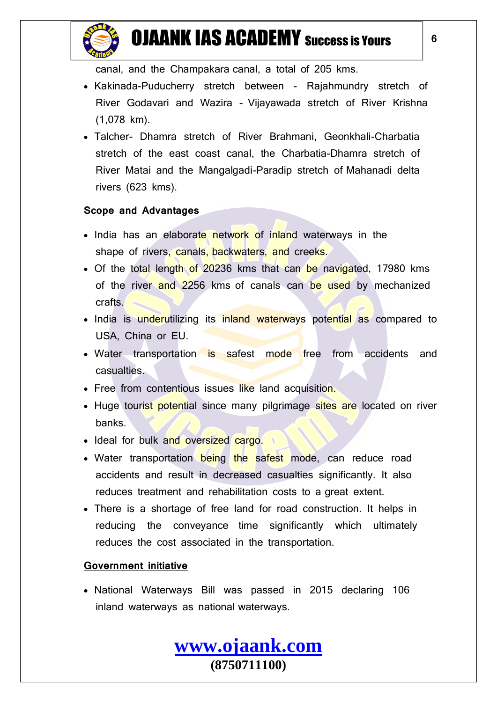

canal, and the Champakara canal, a total of 205 kms.

- Kakinada-Puducherry stretch between Rajahmundry stretch of River Godavari and Wazira - Vijayawada stretch of River Krishna (1,078 km).
- Talcher- Dhamra stretch of River Brahmani, Geonkhali-Charbatia stretch of the east coast canal, the Charbatia-Dhamra stretch of River Matai and the Mangalgadi-Paradip stretch of Mahanadi delta rivers (623 kms).

### **Scope and Advantages**

- India has an elaborate network of inland waterways in the shape of rivers, canals, backwaters, and creeks.
- Of the total length of 20236 kms that can be navigated, 17980 kms of the river and 2256 kms of canals can be used by mechanized crafts.
- India is underutilizing its inland waterways potential as compared to USA, China or EU.
- Water transportation is safest mode free from accidents and casualties.
- Free from contentious issues like land acquisition.
- Huge tourist potential since many pilgrimage sites are located on river banks.
- Ideal for bulk and oversized cargo.
- Water transportation being the safest mode, can reduce road accidents and result in decreased casualties significantly. It also reduces treatment and rehabilitation costs to a great extent.
- There is a shortage of free land for road construction. It helps in reducing the conveyance time significantly which ultimately reduces the cost associated in the transportation.

### **Government initiative**

• National Waterways Bill was passed in 2015 declaring 106 inland waterways as national waterways.

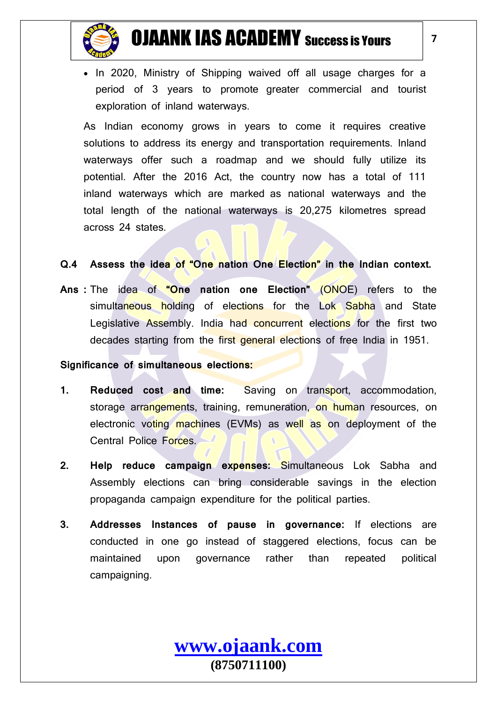

• In 2020, Ministry of Shipping waived off all usage charges for a period of 3 years to promote greater commercial and tourist exploration of inland waterways.

As Indian economy grows in years to come it requires creative solutions to address its energy and transportation requirements. Inland waterways offer such a roadmap and we should fully utilize its potential. After the 2016 Act, the country now has a total of 111 inland waterways which are marked as national waterways and the total length of the national waterways is 20,275 kilometres spread across 24 states.

#### **Q.4 Assess the idea of "One nation One Election" in the Indian context.**

**Ans :** The idea of **"One nation one Election"** (ONOE) refers to the simultaneous holding of elections for the Lok Sabha and State Legislative Assembly. India had concurrent elections for the first two decades starting from the first general elections of free India in 1951.

#### **Significance of simultaneous elections:**

- **1. Reduced cost and time:** Saving on transport, accommodation, storage arrangements, training, remuneration, on human resources, on electronic voting machines (EVMs) as well as on deployment of the Central Police Forces.
- **2. Help reduce campaign expenses:** Simultaneous Lok Sabha and Assembly elections can bring considerable savings in the election propaganda campaign expenditure for the political parties.
- **3. Addresses Instances of pause in governance:** If elections are conducted in one go instead of staggered elections, focus can be maintained upon governance rather than repeated political campaigning.

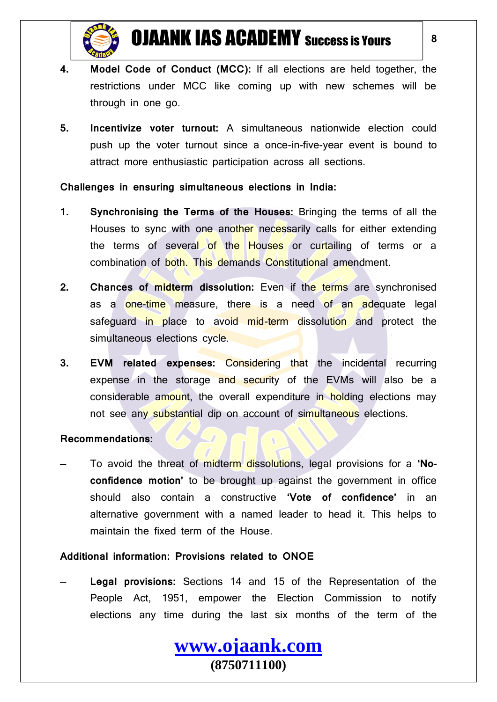

- **4. Model Code of Conduct (MCC):** If all elections are held together, the restrictions under MCC like coming up with new schemes will be through in one go.
- **5. Incentivize voter turnout:** A simultaneous nationwide election could push up the voter turnout since a once-in-five-year event is bound to attract more enthusiastic participation across all sections.

#### **Challenges in ensuring simultaneous elections in India:**

- **1. Synchronising the Terms of the Houses:** Bringing the terms of all the Houses to sync with one another necessarily calls for either extending the terms of several of the Houses or curtailing of terms or a combination of both. This demands Constitutional amendment.
- **2. Chances of midterm dissolution:** Even if the terms are synchronised as a one-time measure, there is a need of an adequate legal safeguard in place to avoid mid-term dissolution and protect the simultaneous elections cycle.
- **3. EVM related expenses:** Considering that the incidental recurring expense in the storage and security of the EVMs will also be a considerable amount, the overall expenditure in holding elections may not see any substantial dip on account of simultaneous elections.

#### **Recommendations:**

— To avoid the threat of midterm dissolutions, legal provisions for a **'Noconfidence motion'** to be brought up against the government in office should also contain a constructive **'Vote of confidence'** in an alternative government with a named leader to head it. This helps to maintain the fixed term of the House.

### **Additional information: Provisions related to ONOE**

— **Legal provisions:** Sections 14 and 15 of the Representation of the People Act, 1951, empower the Election Commission to notify elections any time during the last six months of the term of the

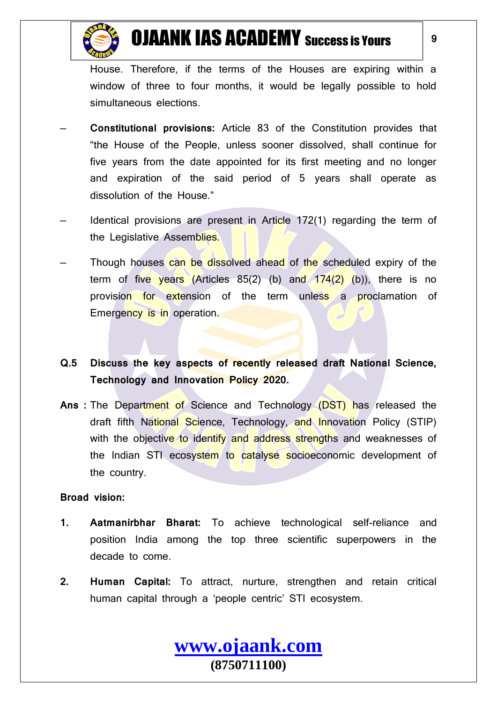

House. Therefore, if the terms of the Houses are expiring within a window of three to four months, it would be legally possible to hold simultaneous elections.

- **Constitutional provisions:** Article 83 of the Constitution provides that "the House of the People, unless sooner dissolved, shall continue for five years from the date appointed for its first meeting and no longer and expiration of the said period of 5 years shall operate as dissolution of the House."
- Identical provisions are present in Article 172(1) regarding the term of the Legislative Assemblies.
- Though houses can be dissolved ahead of the scheduled expiry of the term of five years  $(A$ rticles  $85(2)$  (b) and  $174(2)$  (b)), there is no provision for extension of the term unless a proclamation of Emergency is in operation.
- **Q.5 Discuss the key aspects of recently released draft National Science, Technology and Innovation Policy 2020.**
- **Ans :** The Department of Science and Technology (DST) has released the draft fifth National Science, Technology, and Innovation Policy (STIP) with the objective to identify and address strengths and weaknesses of the Indian STI ecosystem to catalyse socioeconomic development of the country.

#### **Broad vision:**

- **1. Aatmanirbhar Bharat:** To achieve technological self-reliance and position India among the top three scientific superpowers in the decade to come.
- **2. Human Capital:** To attract, nurture, strengthen and retain critical human capital through a 'people centric' STI ecosystem.

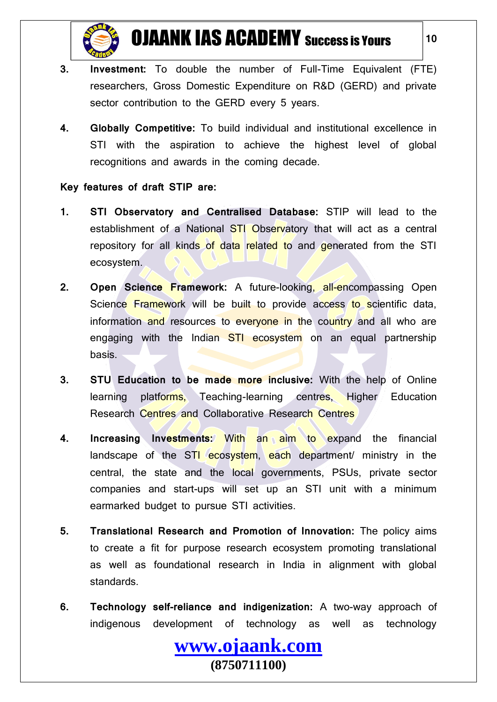

**10**

- **3. Investment:** To double the number of Full-Time Equivalent (FTE) researchers, Gross Domestic Expenditure on R&D (GERD) and private sector contribution to the GERD every 5 years.
- **4. Globally Competitive:** To build individual and institutional excellence in STI with the aspiration to achieve the highest level of global recognitions and awards in the coming decade.

#### **Key features of draft STIP are:**

- **1. STI Observatory and Centralised Database:** STIP will lead to the establishment of a National STI Observatory that will act as a central repository for all kinds of data related to and generated from the STI ecosystem.
- **2. Open Science Framework:** A future-looking, all-encompassing Open Science Framework will be built to provide access to scientific data, information and resources to everyone in the country and all who are engaging with the Indian STI ecosystem on an equal partnership basis.
- **3. STU Education to be made more inclusive:** With the help of Online learning platforms, Teaching-learning centres, Higher Education Research Centres and Collaborative Research Centres
- **4. Increasing Investments:** With an aim to expand the financial landscape of the STI ecosystem, each department ministry in the central, the state and the local governments, PSUs, private sector companies and start-ups will set up an STI unit with a minimum earmarked budget to pursue STI activities.
- **5. Translational Research and Promotion of Innovation:** The policy aims to create a fit for purpose research ecosystem promoting translational as well as foundational research in India in alignment with global standards.
- **6. Technology self-reliance and indigenization:** A two-way approach of indigenous development of technology as well as technology

**[www.ojaank.com](http://www.ojaank.com/) (8750711100)**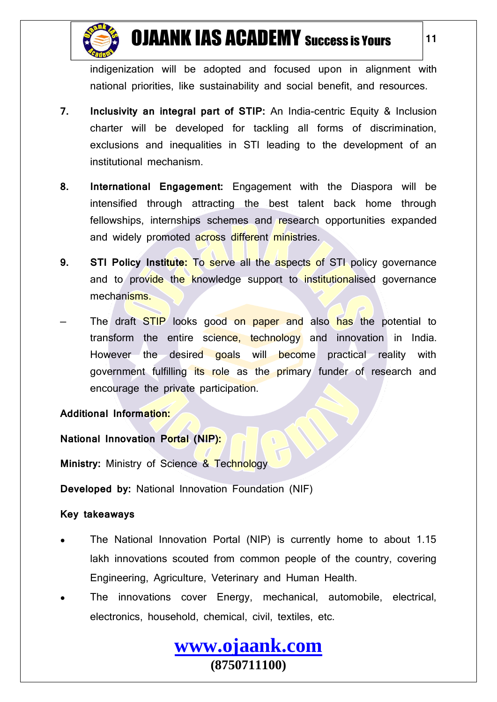

indigenization will be adopted and focused upon in alignment with national priorities, like sustainability and social benefit, and resources.

- **7. Inclusivity an integral part of STIP:** An India-centric Equity & Inclusion charter will be developed for tackling all forms of discrimination, exclusions and inequalities in STI leading to the development of an institutional mechanism.
- **8. International Engagement:** Engagement with the Diaspora will be intensified through attracting the best talent back home through fellowships, internships schemes and research opportunities expanded and widely promoted across different ministries.
- **9. STI Policy Institute:** To serve all the aspects of STI policy governance and to provide the knowledge support to institutionalised governance mechanisms.
- The draft STIP looks good on paper and also has the potential to transform the entire science, technology and innovation in India. However the desired goals will become practical reality with government fulfilling its role as the primary funder of research and encourage the private participation.

### **Additional Information:**

### **National Innovation Portal (NIP):**

**Ministry:** Ministry of Science & Technology

**Developed by:** National Innovation Foundation (NIF)

### **Key takeaways**

- The National Innovation Portal (NIP) is currently home to about 1.15 lakh innovations scouted from common people of the country, covering Engineering, Agriculture, Veterinary and Human Health.
- The innovations cover Energy, mechanical, automobile, electrical, electronics, household, chemical, civil, textiles, etc.

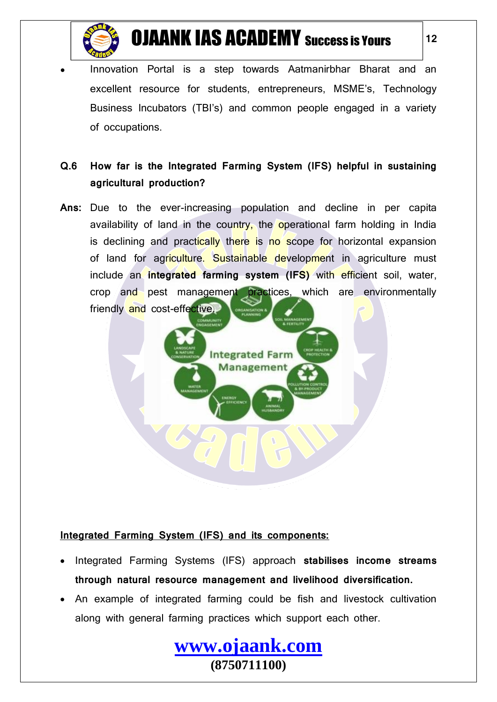

Innovation Portal is a step towards Aatmanirbhar Bharat and an excellent resource for students, entrepreneurs, MSME's, Technology Business Incubators (TBI's) and common people engaged in a variety of occupations.

### **Q.6 How far is the Integrated Farming System (IFS) helpful in sustaining agricultural production?**

**Ans:** Due to the ever-increasing population and decline in per capita availability of land in the country, the operational farm holding in India is declining and practically there is no scope for horizontal expansion of land for agriculture. Sustainable development in agriculture must include an **integrated farming system (IFS)** with efficient soil, water, crop and pest management practices, which are environmentally friendly and cost-effective.

> **Integrated Farm Management**

#### **Integrated Farming System (IFS) and its components:**

- Integrated Farming Systems (IFS) approach **stabilises income streams through natural resource management and livelihood diversification.**
- An example of integrated farming could be fish and livestock cultivation along with general farming practices which support each other.

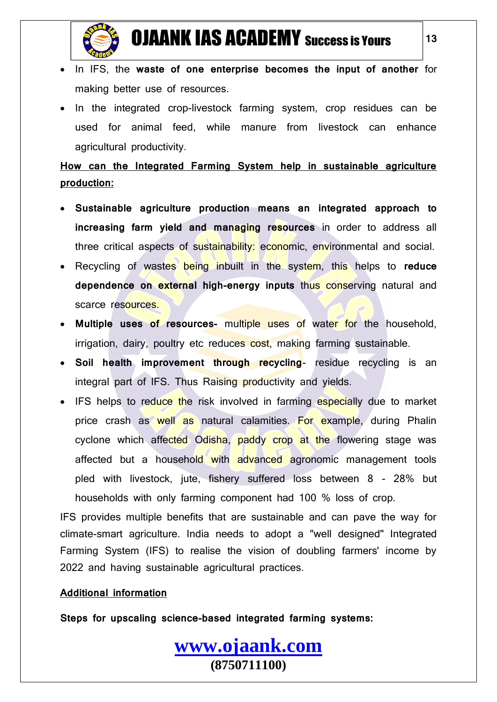

- In IFS, the **waste of one enterprise becomes the input of another** for making better use of resources.
- In the integrated crop-livestock farming system, crop residues can be used for animal feed, while manure from livestock can enhance agricultural productivity.

### **How can the Integrated Farming System help in sustainable agriculture production:**

- **Sustainable agriculture production means an integrated approach to increasing farm yield and managing resources** in order to address all three critical aspects of sustainability: economic, environmental and social.
- Recycling of wastes being inbuilt in the system, this helps to **reduce dependence on external high-energy inputs** thus conserving natural and scarce resources.
- **Multiple uses of resources-** multiple uses of water for the household, irrigation, dairy, poultry etc reduces cost, making farming sustainable.
- **Soil health improvement through recycling** residue recycling is an integral part of IFS. Thus Raising productivity and yields.
- IFS helps to reduce the risk involved in farming especially due to market price crash as well as natural calamities. For example, during Phalin cyclone which affected Odisha, paddy crop at the flowering stage was affected but a household with advanced agronomic management tools pled with livestock, jute, fishery suffered loss between 8 - 28% but households with only farming component had 100 % loss of crop.

IFS provides multiple benefits that are sustainable and can pave the way for climate-smart agriculture. India needs to adopt a "well designed" Integrated Farming System (IFS) to realise the vision of doubling farmers' income by 2022 and having sustainable agricultural practices.

**[www.ojaank.com](http://www.ojaank.com/)**

**(8750711100)**

### **Additional information**

**Steps for upscaling science-based integrated farming systems:**